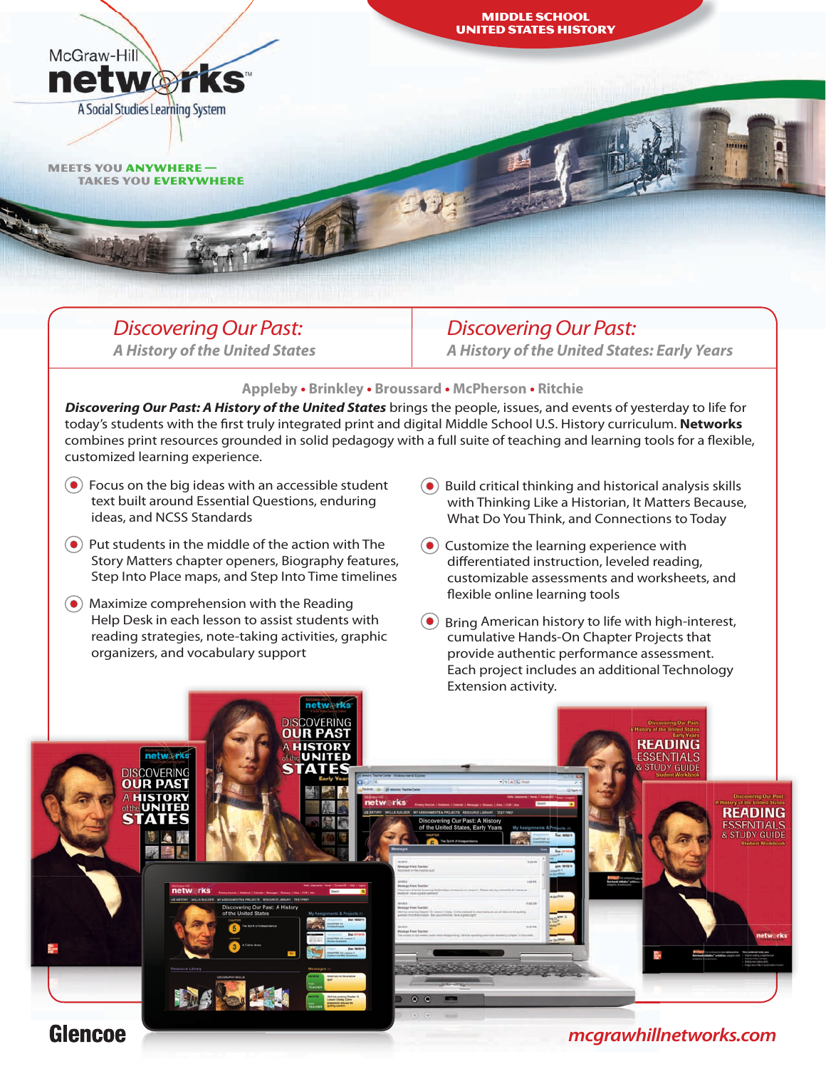*DiscoveringOur Past:*

meets you anywhere —

**networ** 

McGraw-Hill

takes you everywhere

A Social Studies Learning System

 *A History of the United States*

## *DiscoveringOur Past: A History of the United States: Early Years*

### **Appleby • Brinkley • Broussard • McPherson • Ritchie**

*Discovering Our Past: A History of the United States* brings the people, issues, and events of yesterday to life for today's students with the first truly integrated print and digital Middle School U.S. History curriculum. **Networks** combines print resources grounded in solid pedagogy with a full suite of teaching and learning tools for a flexible, customized learning experience.

- $\left( \bullet \right)$  Focus on the big ideas with an accessible student text built around Essential Questions, enduring ideas, and NCSS Standards
- $\odot$  Put students in the middle of the action with The Story Matters chapter openers, Biography features, Step Into Place maps, and Step Into Time timelines
- Maximize comprehension with the Reading Help Desk in each lesson to assist students with reading strategies, note-taking activities, graphic organizers, and vocabulary support
- $\left( \bullet \right)$  Build critical thinking and historical analysis skills with Thinking Like a Historian, It Matters Because, What Do You Think, and Connections to Today
- $\left( \bullet \right)$  Customize the learning experience with differentiated instruction, leveled reading, customizable assessments and worksheets, and flexible online learning tools

 $\left( \bullet \right)$  Bring American history to life with high-interest, cumulative Hands-On Chapter Projects that provide authentic performance assessment. Each project includes an additional Technology Extension activity.